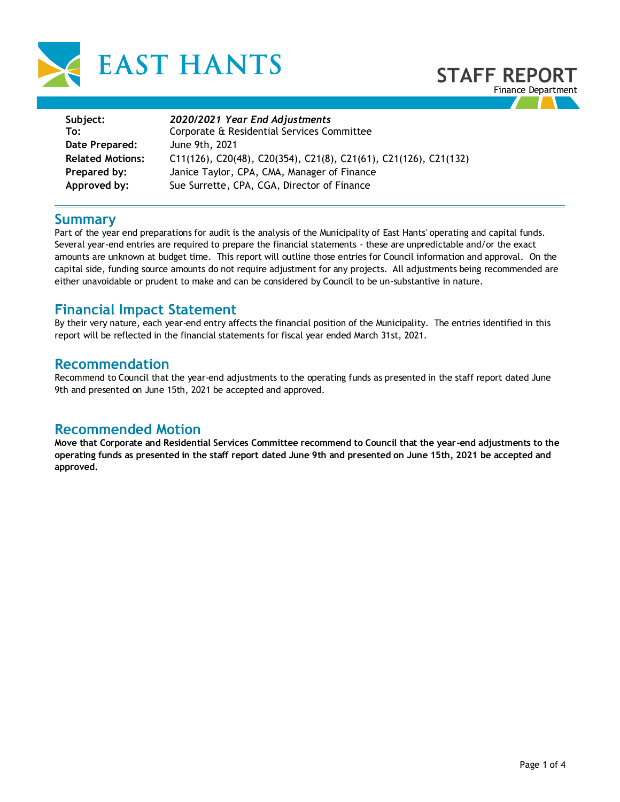



| 2020/2021 Year End Adjustments<br>Corporate & Residential Services Committee |
|------------------------------------------------------------------------------|
| June 9th, 2021                                                               |
| C11(126), C20(48), C20(354), C21(8), C21(61), C21(126), C21(132)             |
| Janice Taylor, CPA, CMA, Manager of Finance                                  |
| Sue Surrette, CPA, CGA, Director of Finance                                  |
|                                                                              |

### **Summary**

Part of the year end preparations for audit is the analysis of the Municipality of East Hants' operating and capital funds. Several year-end entries are required to prepare the financial statements - these are unpredictable and/or the exact amounts are unknown at budget time. This report will outline those entries for Council information and approval. On the capital side, funding source amounts do not require adjustment for any projects. All adjustments being recommended are either unavoidable or prudent to make and can be considered by Council to be un-substantive in nature.

## **Financial Impact Statement**

By their very nature, each year-end entry affects the financial position of the Municipality. The entries identified in this report will be reflected in the financial statements for fiscal year ended March 31st, 2021.

## **Recommendation**

Recommend to Council that the year-end adjustments to the operating funds as presented in the staff report dated June 9th and presented on June 15th, 2021 be accepted and approved.

## **Recommended Motion**

**Move that Corporate and Residential Services Committee recommend to Council that the year-end adjustments to the operating funds as presented in the staff report dated June 9th and presented on June 15th, 2021 be accepted and approved.**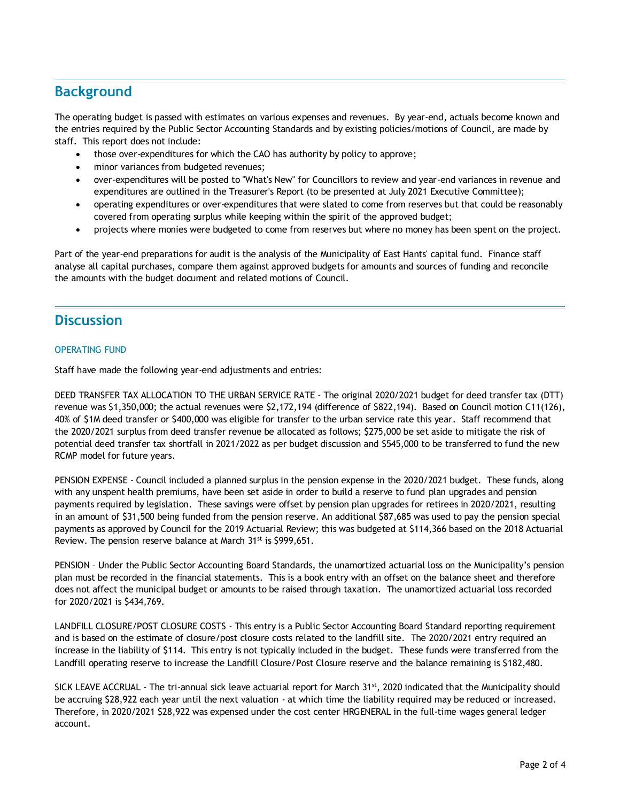# **Background**

The operating budget is passed with estimates on various expenses and revenues. By year-end, actuals become known and the entries required by the Public Sector Accounting Standards and by existing policies/motions of Council, are made by staff. This report does not include:

- those over-expenditures for which the CAO has authority by policy to approve;
- minor variances from budgeted revenues;
- over-expenditures will be posted to "What's New" for Councillors to review and year-end variances in revenue and expenditures are outlined in the Treasurer's Report (to be presented at July 2021 Executive Committee);
- operating expenditures or over-expenditures that were slated to come from reserves but that could be reasonably covered from operating surplus while keeping within the spirit of the approved budget;
- projects where monies were budgeted to come from reserves but where no money has been spent on the project.

Part of the year-end preparations for audit is the analysis of the Municipality of East Hants' capital fund. Finance staff analyse all capital purchases, compare them against approved budgets for amounts and sources of funding and reconcile the amounts with the budget document and related motions of Council.

## **Discussion**

#### OPERATING FUND

Staff have made the following year-end adjustments and entries:

DEED TRANSFER TAX ALLOCATION TO THE URBAN SERVICE RATE - The original 2020/2021 budget for deed transfer tax (DTT) revenue was \$1,350,000; the actual revenues were \$2,172,194 (difference of \$822,194). Based on Council motion C11(126), 40% of \$1M deed transfer or \$400,000 was eligible for transfer to the urban service rate this year. Staff recommend that the 2020/2021 surplus from deed transfer revenue be allocated as follows; \$275,000 be set aside to mitigate the risk of potential deed transfer tax shortfall in 2021/2022 as per budget discussion and \$545,000 to be transferred to fund the new RCMP model for future years.

PENSION EXPENSE - Council included a planned surplus in the pension expense in the 2020/2021 budget. These funds, along with any unspent health premiums, have been set aside in order to build a reserve to fund plan upgrades and pension payments required by legislation. These savings were offset by pension plan upgrades for retirees in 2020/2021, resulting in an amount of \$31,500 being funded from the pension reserve. An additional \$87,685 was used to pay the pension special payments as approved by Council for the 2019 Actuarial Review; this was budgeted at \$114,366 based on the 2018 Actuarial Review. The pension reserve balance at March 31<sup>st</sup> is \$999,651.

PENSION – Under the Public Sector Accounting Board Standards, the unamortized actuarial loss on the Municipality's pension plan must be recorded in the financial statements. This is a book entry with an offset on the balance sheet and therefore does not affect the municipal budget or amounts to be raised through taxation. The unamortized actuarial loss recorded for 2020/2021 is \$434,769.

LANDFILL CLOSURE/POST CLOSURE COSTS - This entry is a Public Sector Accounting Board Standard reporting requirement and is based on the estimate of closure/post closure costs related to the landfill site. The 2020/2021 entry required an increase in the liability of \$114. This entry is not typically included in the budget. These funds were transferred from the Landfill operating reserve to increase the Landfill Closure/Post Closure reserve and the balance remaining is \$182,480.

SICK LEAVE ACCRUAL - The tri-annual sick leave actuarial report for March  $31<sup>st</sup>$ , 2020 indicated that the Municipality should be accruing \$28,922 each year until the next valuation - at which time the liability required may be reduced or increased. Therefore, in 2020/2021 \$28,922 was expensed under the cost center HRGENERAL in the full-time wages general ledger account.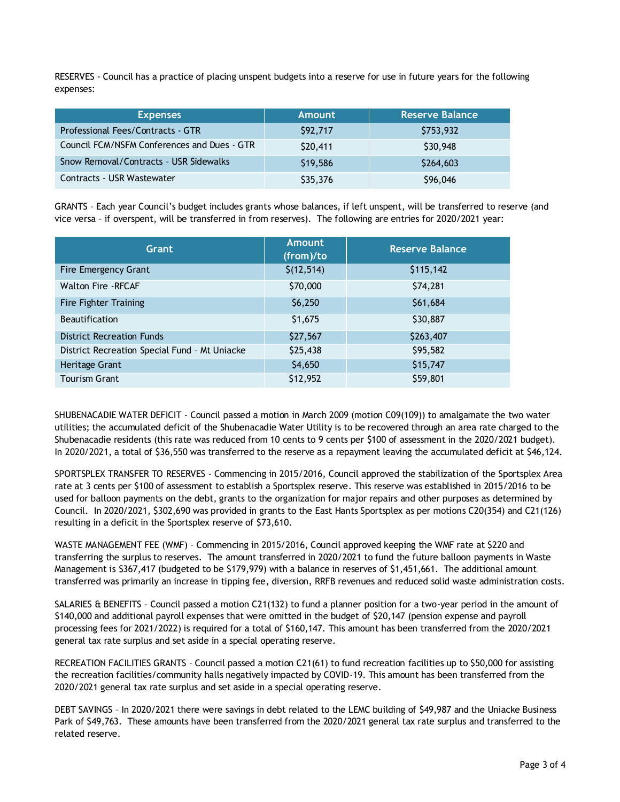RESERVES - Council has a practice of placing unspent budgets into a reserve for use in future years for the following expenses:

| <b>Expenses</b>                             | Amount   | <b>Reserve Balance</b> |
|---------------------------------------------|----------|------------------------|
| Professional Fees/Contracts - GTR           | \$92,717 | \$753,932              |
| Council FCM/NSFM Conferences and Dues - GTR | \$20,411 | \$30,948               |
| Snow Removal/Contracts - USR Sidewalks      | \$19,586 | \$264,603              |
| Contracts - USR Wastewater                  | \$35,376 | \$96,046               |

GRANTS – Each year Council's budget includes grants whose balances, if left unspent, will be transferred to reserve (and vice versa – if overspent, will be transferred in from reserves). The following are entries for 2020/2021 year:

| Grant                                         | Amount<br>(from)/to | <b>Reserve Balance</b> |
|-----------------------------------------------|---------------------|------------------------|
| Fire Emergency Grant                          | \$(12, 514)         | \$115,142              |
| <b>Walton Fire -RFCAF</b>                     | \$70,000            | \$74,281               |
| Fire Fighter Training                         | \$6,250             | \$61,684               |
| <b>Beautification</b>                         | \$1,675             | \$30,887               |
| <b>District Recreation Funds</b>              | \$27,567            | \$263,407              |
| District Recreation Special Fund - Mt Uniacke | \$25,438            | \$95,582               |
| Heritage Grant                                | \$4,650             | \$15,747               |
| <b>Tourism Grant</b>                          | \$12,952            | \$59,801               |

SHUBENACADIE WATER DEFICIT - Council passed a motion in March 2009 (motion C09(109)) to amalgamate the two water utilities; the accumulated deficit of the Shubenacadie Water Utility is to be recovered through an area rate charged to the Shubenacadie residents (this rate was reduced from 10 cents to 9 cents per \$100 of assessment in the 2020/2021 budget). In 2020/2021, a total of \$36,550 was transferred to the reserve as a repayment leaving the accumulated deficit at \$46,124.

SPORTSPLEX TRANSFER TO RESERVES - Commencing in 2015/2016, Council approved the stabilization of the Sportsplex Area rate at 3 cents per \$100 of assessment to establish a Sportsplex reserve. This reserve was established in 2015/2016 to be used for balloon payments on the debt, grants to the organization for major repairs and other purposes as determined by Council. In 2020/2021, \$302,690 was provided in grants to the East Hants Sportsplex as per motions C20(354) and C21(126) resulting in a deficit in the Sportsplex reserve of \$73,610.

WASTE MANAGEMENT FEE (WMF) – Commencing in 2015/2016, Council approved keeping the WMF rate at \$220 and transferring the surplus to reserves. The amount transferred in 2020/2021 to fund the future balloon payments in Waste Management is \$367,417 (budgeted to be \$179,979) with a balance in reserves of \$1,451,661. The additional amount transferred was primarily an increase in tipping fee, diversion, RRFB revenues and reduced solid waste administration costs.

SALARIES & BENEFITS – Council passed a motion C21(132) to fund a planner position for a two-year period in the amount of \$140,000 and additional payroll expenses that were omitted in the budget of \$20,147 (pension expense and payroll processing fees for 2021/2022) is required for a total of \$160,147. This amount has been transferred from the 2020/2021 general tax rate surplus and set aside in a special operating reserve.

RECREATION FACILITIES GRANTS – Council passed a motion C21(61) to fund recreation facilities up to \$50,000 for assisting the recreation facilities/community halls negatively impacted by COVID-19. This amount has been transferred from the 2020/2021 general tax rate surplus and set aside in a special operating reserve.

DEBT SAVINGS – In 2020/2021 there were savings in debt related to the LEMC building of \$49,987 and the Uniacke Business Park of \$49,763. These amounts have been transferred from the 2020/2021 general tax rate surplus and transferred to the related reserve.